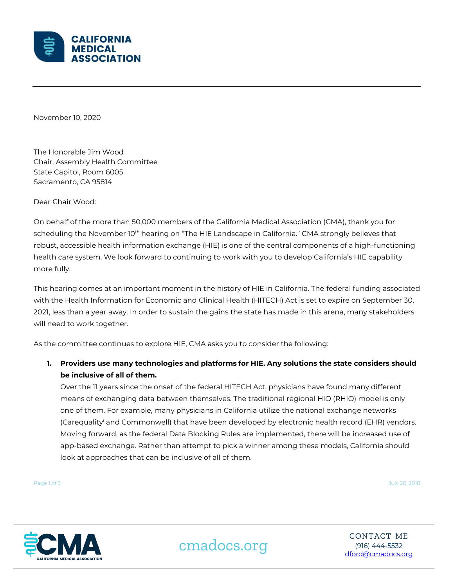

November 10, 2020

The Honorable Jim Wood Chair, Assembly Health Committee State Capitol, Room 6005 Sacramento, CA 95814

Dear Chair Wood:

On behalf of the more than 50,000 members of the California Medical Association (CMA), thank you for scheduling the November 10<sup>th</sup> hearing on "The HIE Landscape in California." CMA strongly believes that robust, accessible health information exchange (HIE) is one of the central components of a high-functioning health care system. We look forward to continuing to work with you to develop California's HIE capability more fully.

This hearing comes at an important moment in the history of HIE in California. The federal funding associated with the Health Information for Economic and Clinical Health (HITECH) Act is set to expire on September 30, 2021, less than a year away. In order to sustain the gains the state has made in this arena, many stakeholders will need to work together.

As the committee continues to explore HIE, CMA asks you to consider the following:

**1. Providers use many technologies and platforms for HIE. Any solutions the state considers should be inclusive of all of them.**

Over the 11 years since the onset of the federal HITECH Act, physicians have found many different means of exchanging data between themselves. The traditional regional HIO (RHIO) model is only one of them. For example, many physicians in California utilize the national exchange networks (Carequality<sup>i</sup> and Commonwell) that have been developed by electronic health record (EHR) vendors. Moving forward, as the federal Data Blocking Rules are implemented, there will be increased use of app-based exchange. Rather than attempt to pick a winner among these models, California should look at approaches that can be inclusive of all of them.

Page 1 of 3 July 20, 2018



cmadocs.org (916) 444-5532

CONTACT ME [dford@cmadocs.org](mailto:dford@cmadocs.org)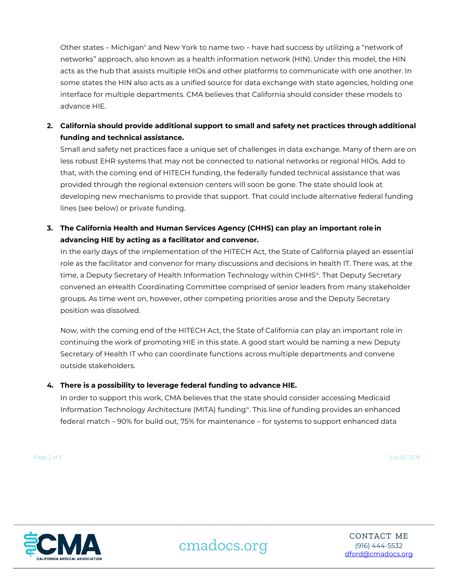Other states – Michigan<sup>ii</sup> and New York to name two – have had success by utilizing a "network of networks" approach, also known as a health information network (HIN). Under this model, the HIN acts as the hub that assists multiple HIOs and other platforms to communicate with one another. In some states the HIN also acts as a unified source for data exchange with state agencies, holding one interface for multiple departments. CMA believes that California should consider these models to advance HIE.

**2. California should provide additional support to small and safety net practices through additional funding and technical assistance.**

Small and safety net practices face a unique set of challenges in data exchange. Many of them are on less robust EHR systems that may not be connected to national networks or regional HIOs. Add to that, with the coming end of HITECH funding, the federally funded technical assistance that was provided through the regional extension centers will soon be gone. The state should look at developing new mechanisms to provide that support. That could include alternative federal funding lines (see below) or private funding.

**3. The California Health and Human Services Agency (CHHS) can play an important role in advancing HIE by acting as a facilitator and convenor.**

In the early days of the implementation of the HITECH Act, the State of California played an essential role as the facilitator and convenor for many discussions and decisions in health IT. There was, at the time, a Deputy Secretary of Health Information Technology within CHHS<sup>III</sup>. That Deputy Secretary convened an eHealth Coordinating Committee comprised of senior leaders from many stakeholder groups. As time went on, however, other competing priorities arose and the Deputy Secretary position was dissolved.

Now, with the coming end of the HITECH Act, the State of California can play an important role in continuing the work of promoting HIE in this state. A good start would be naming a new Deputy Secretary of Health IT who can coordinate functions across multiple departments and convene outside stakeholders.

## **4. There is a possibility to leverage federal funding to advance HIE.**

In order to support this work, CMA believes that the state should consider accessing Medicaid Information Technology Architecture (MITA) funding<sup>iv</sup>. This line of funding provides an enhanced federal match – 90% for build out, 75% for maintenance – for systems to support enhanced data

Page 2 of 3 July 20, 2018



cmadocs.org (916) 444-5532

CONTACT ME [dford@cmadocs.org](mailto:dford@cmadocs.org)